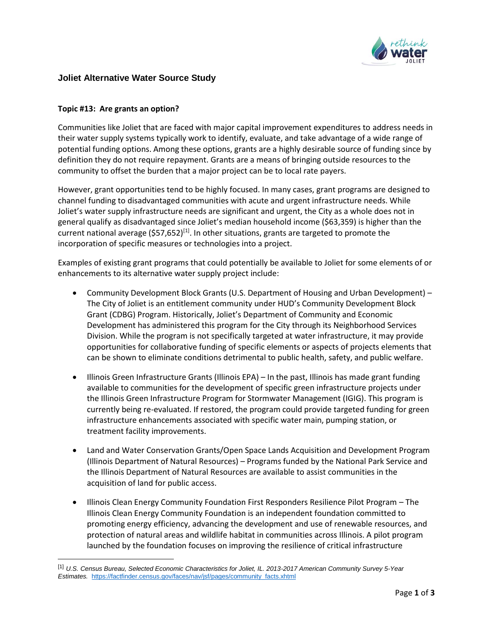

## **Joliet Alternative Water Source Study**

## **Topic #13: Are grants an option?**

 $\overline{\phantom{a}}$ 

Communities like Joliet that are faced with major capital improvement expenditures to address needs in their water supply systems typically work to identify, evaluate, and take advantage of a wide range of potential funding options. Among these options, grants are a highly desirable source of funding since by definition they do not require repayment. Grants are a means of bringing outside resources to the community to offset the burden that a major project can be to local rate payers.

However, grant opportunities tend to be highly focused. In many cases, grant programs are designed to channel funding to disadvantaged communities with acute and urgent infrastructure needs. While Joliet's water supply infrastructure needs are significant and urgent, the City as a whole does not in general qualify as disadvantaged since Joliet's median household income (\$63,359) is higher than the current national average ( $$57,652$ <sup>[1]</sup>. In other situations, grants are targeted to promote the incorporation of specific measures or technologies into a project.

Examples of existing grant programs that could potentially be available to Joliet for some elements of or enhancements to its alternative water supply project include:

- Community Development Block Grants (U.S. Department of Housing and Urban Development) The City of Joliet is an entitlement community under HUD's Community Development Block Grant (CDBG) Program. Historically, Joliet's Department of Community and Economic Development has administered this program for the City through its Neighborhood Services Division. While the program is not specifically targeted at water infrastructure, it may provide opportunities for collaborative funding of specific elements or aspects of projects elements that can be shown to eliminate conditions detrimental to public health, safety, and public welfare.
- Illinois Green Infrastructure Grants (Illinois EPA) In the past, Illinois has made grant funding available to communities for the development of specific green infrastructure projects under the Illinois Green Infrastructure Program for Stormwater Management (IGIG). This program is currently being re-evaluated. If restored, the program could provide targeted funding for green infrastructure enhancements associated with specific water main, pumping station, or treatment facility improvements.
- Land and Water Conservation Grants/Open Space Lands Acquisition and Development Program (Illinois Department of Natural Resources) – Programs funded by the National Park Service and the Illinois Department of Natural Resources are available to assist communities in the acquisition of land for public access.
- Illinois Clean Energy Community Foundation First Responders Resilience Pilot Program The Illinois Clean Energy Community Foundation is an independent foundation committed to promoting energy efficiency, advancing the development and use of renewable resources, and protection of natural areas and wildlife habitat in communities across Illinois. A pilot program launched by the foundation focuses on improving the resilience of critical infrastructure

<sup>[1]</sup> *U.S. Census Bureau, Selected Economic Characteristics for Joliet, IL. 2013-2017 American Community Survey 5-Year Estimates.* [https://factfinder.census.gov/faces/nav/jsf/pages/community\\_facts.xhtml](https://url2.mailanyone.net/v1/?m=1iHToi-0009mF-3g&i=57e1b682&c=FIDGub1AUpsik1bIs0dfUEXX4xwkY7m_fHflNj0iC3ijuplC8QGio2-AiLGGC1e3-sAPM_mIxes_xBEsEDWGYt-EmG1_d9Y2jkvL2a6sCxvljTzy2KQiW2pgaQgBHZPE9DGidoMTCZlht7VsSgiBBpbZ2OD7SztTwYxLmqKYkeT1WmVSrLAgJdZFEcug4R8gBc2k2eJtVlFqMyVis1yEyZuyoQXudYiDtFhsZ88e37dVjhbE8p--ag6ifj6altDC-fmty8vywGjaK2m5mHHB1ani3y0keGoDmuKsdRzZdas)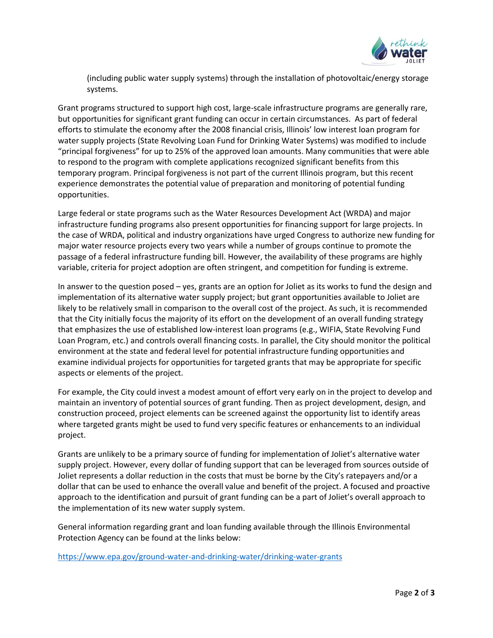

(including public water supply systems) through the installation of photovoltaic/energy storage systems.

Grant programs structured to support high cost, large-scale infrastructure programs are generally rare, but opportunities for significant grant funding can occur in certain circumstances. As part of federal efforts to stimulate the economy after the 2008 financial crisis, Illinois' low interest loan program for water supply projects (State Revolving Loan Fund for Drinking Water Systems) was modified to include "principal forgiveness" for up to 25% of the approved loan amounts. Many communities that were able to respond to the program with complete applications recognized significant benefits from this temporary program. Principal forgiveness is not part of the current Illinois program, but this recent experience demonstrates the potential value of preparation and monitoring of potential funding opportunities.

Large federal or state programs such as the Water Resources Development Act (WRDA) and major infrastructure funding programs also present opportunities for financing support for large projects. In the case of WRDA, political and industry organizations have urged Congress to authorize new funding for major water resource projects every two years while a number of groups continue to promote the passage of a federal infrastructure funding bill. However, the availability of these programs are highly variable, criteria for project adoption are often stringent, and competition for funding is extreme.

In answer to the question posed – yes, grants are an option for Joliet as its works to fund the design and implementation of its alternative water supply project; but grant opportunities available to Joliet are likely to be relatively small in comparison to the overall cost of the project. As such, it is recommended that the City initially focus the majority of its effort on the development of an overall funding strategy that emphasizes the use of established low-interest loan programs (e.g., WIFIA, State Revolving Fund Loan Program, etc.) and controls overall financing costs. In parallel, the City should monitor the political environment at the state and federal level for potential infrastructure funding opportunities and examine individual projects for opportunities for targeted grants that may be appropriate for specific aspects or elements of the project.

For example, the City could invest a modest amount of effort very early on in the project to develop and maintain an inventory of potential sources of grant funding. Then as project development, design, and construction proceed, project elements can be screened against the opportunity list to identify areas where targeted grants might be used to fund very specific features or enhancements to an individual project.

Grants are unlikely to be a primary source of funding for implementation of Joliet's alternative water supply project. However, every dollar of funding support that can be leveraged from sources outside of Joliet represents a dollar reduction in the costs that must be borne by the City's ratepayers and/or a dollar that can be used to enhance the overall value and benefit of the project. A focused and proactive approach to the identification and pursuit of grant funding can be a part of Joliet's overall approach to the implementation of its new water supply system.

General information regarding grant and loan funding available through the Illinois Environmental Protection Agency can be found at the links below:

[https://www.epa.gov/ground-water-and-drinking-water/drinking-water-grants](https://url2.mailanyone.net/v1/?m=1iHToi-0009mF-3g&i=57e1b682&c=QmkjoalPrX_7Wxgs-VBPv_4hEMOZe73Z72sXVsmcoDss077q-s02eLqfqPJSGAtUaUSEuJ2IU9_bIeK7caYa6XUJlsKi9xnpOv5M3hFZe0NCUp2PmJtpvB43g6qyiDrRsTWasoeOUfbX31IJ7ppLdA-tWpaMWkANZqaWFDfvnxpvzOkjaaXtDjozoQb6qG7Bta0Ktip74kbqGmQTp59josnTf05HZxpaJp-KRKOEtpnA5woRyx5GZDssTtMkhbk9RQelK8prEkhVJXGiyAsvfo4-DQRg-4C5kKcL9XT3hZo)